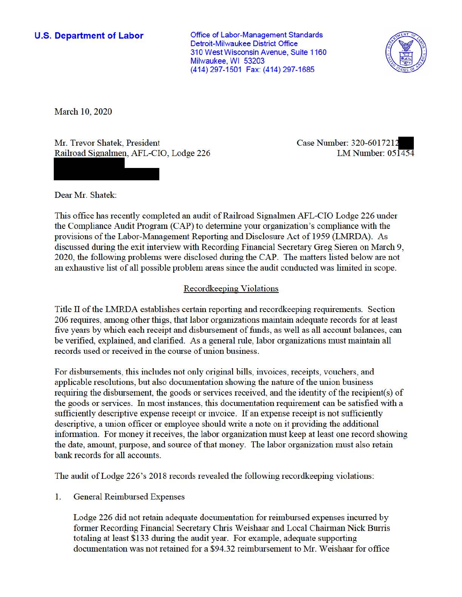**U.S. Department of Labor Conservative Conservative Conservative Conservative Conservative Conservative Conservative Conservative Conservative Conservative Conservative Conservative Conservative Conservative Conservative** Detroit-Milwaukee District Office 310 West Wisconsin Avenue, Suite 1160 Milwaukee, WI 53203 (414) 297-1501 Fax: (414) 297-1685



March 10, 2020

Mr. Trevor Shatek, President Railroad Signalmen, AFL-CIO, Lodge 226 Case Number: 320-6017212 LM Number: 051454

Dear Mr. Shatek:

This office has recently completed an audit of Railroad Signalmen AFL-CIO Lodge 226 under the Compliance Audit Program (CAP) to detennine your organization 's compliance with the provisions of the Labor-Management Reporting and Disclosure Act of 1959 (LMRDA). As discussed during the exit interview with Recording Financial Secretary Greg Sieren on March 9, 2020, the following problems were disclosed during the CAP. The matters listed below are not an exhaustive list of all possible problem areas since the audit conducted was limited in scope.

## Recordkeeping Violations

Title II of the LMRDA establishes certain reporting and recordkeeping requirements. Section 206 requires, among other thigs, that labor organizations maintain adequate records for at least five years by which each receipt and disbursement of funds, as well as all account balances, can be verified, explained, and clarified. As a general rule, labor organizations must maintain all records used or received in the course of union business.

For disbursements, this includes not only original bills, invoices, receipts, vouchers, and applicable resolutions, but also documentation showing the nature of the union business requiring the disbursement, the goods or services received, and the identity of the recipient(s) of the goods or services. In most instances, this documentation requirement can be satisfied with a sufficiently descriptive expense receipt or invoice. If an expense receipt is not sufficiently descriptive, a union officer or employee should write a note on it providing the additional information. For money it receives, the labor organization must keep at least one record showing the date, amount, purpose, and source of that money. The labor organization must also retain bank records for all accounts.

The audit of Lodge 226's 2018 records revealed the following record keeping violations:

1. General Reimbursed Expenses

Lodge 226 did not retain adequate documentation for reimbursed expenses incurred by former Recording Financial Secretary Chris Weishaar and Local Chairman Nick Burris totaling at least \$133 during the audit year. For example, adequate supporting documentation was not retained for a \$94.32 reimbursement to Mr. Weishaar for office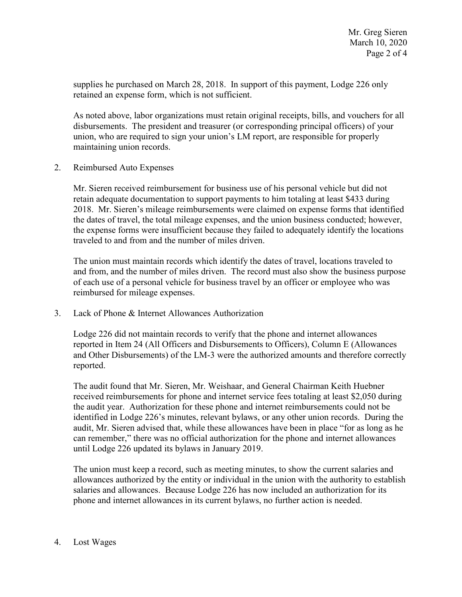retained an expense form, which is not sufficient. supplies he purchased on March 28, 2018. In support of this payment, Lodge 226 only

 disbursements. The president and treasurer (or corresponding principal officers) of your As noted above, labor organizations must retain original receipts, bills, and vouchers for all union, who are required to sign your union's LM report, are responsible for properly maintaining union records.

2. Reimbursed Auto Expenses

 retain adequate documentation to support payments to him totaling at least \$433 during the expense forms were insufficient because they failed to adequately identify the locations Mr. Sieren received reimbursement for business use of his personal vehicle but did not 2018. Mr. Sieren's mileage reimbursements were claimed on expense forms that identified the dates of travel, the total mileage expenses, and the union business conducted; however, traveled to and from and the number of miles driven.

The union must maintain records which identify the dates of travel, locations traveled to and from, and the number of miles driven. The record must also show the business purpose of each use of a personal vehicle for business travel by an officer or employee who was reimbursed for mileage expenses.

3. Lack of Phone & Internet Allowances Authorization

reported. Lodge 226 did not maintain records to verify that the phone and internet allowances reported in Item 24 (All Officers and Disbursements to Officers), Column E (Allowances and Other Disbursements) of the LM-3 were the authorized amounts and therefore correctly

 the audit year. Authorization for these phone and internet reimbursements could not be can remember," there was no official authorization for the phone and internet allowances The audit found that Mr. Sieren, Mr. Weishaar, and General Chairman Keith Huebner received reimbursements for phone and internet service fees totaling at least \$2,050 during identified in Lodge 226's minutes, relevant bylaws, or any other union records. During the audit, Mr. Sieren advised that, while these allowances have been in place "for as long as he until Lodge 226 updated its bylaws in January 2019.

 salaries and allowances. Because Lodge 226 has now included an authorization for its phone and internet allowances in its current bylaws, no further action is needed. The union must keep a record, such as meeting minutes, to show the current salaries and allowances authorized by the entity or individual in the union with the authority to establish

## 4. Lost Wages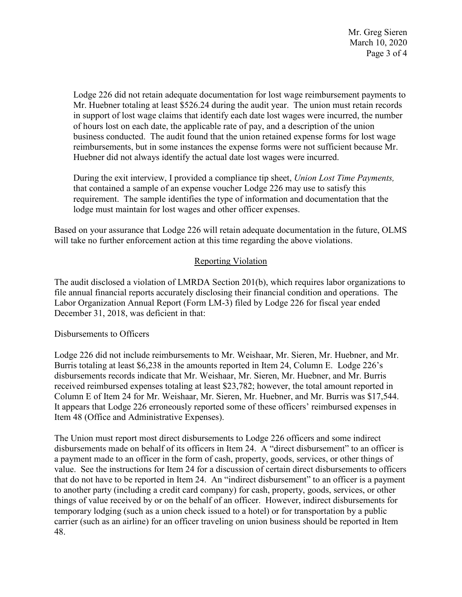Page 3 of 4 Mr. Greg Sieren March 10, 2020

 Mr. Huebner totaling at least \$526.24 during the audit year. The union must retain records Huebner did not always identify the actual date lost wages were incurred. Lodge 226 did not retain adequate documentation for lost wage reimbursement payments to in support of lost wage claims that identify each date lost wages were incurred, the number of hours lost on each date, the applicable rate of pay, and a description of the union business conducted. The audit found that the union retained expense forms for lost wage reimbursements, but in some instances the expense forms were not sufficient because Mr.

 that contained a sample of an expense voucher Lodge 226 may use to satisfy this During the exit interview, I provided a compliance tip sheet, *Union Lost Time Payments,*  requirement. The sample identifies the type of information and documentation that the lodge must maintain for lost wages and other officer expenses.

 Based on your assurance that Lodge 226 will retain adequate documentation in the future, OLMS will take no further enforcement action at this time regarding the above violations.

## Reporting Violation

 Labor Organization Annual Report (Form LM-3) filed by Lodge 226 for fiscal year ended The audit disclosed a violation of LMRDA Section 201(b), which requires labor organizations to file annual financial reports accurately disclosing their financial condition and operations. The December 31, 2018, was deficient in that:

Disbursements to Officers

 Column E of Item 24 for Mr. Weishaar, Mr. Sieren, Mr. Huebner, and Mr. Burris was \$17,544. Lodge 226 did not include reimbursements to Mr. Weishaar, Mr. Sieren, Mr. Huebner, and Mr. Burris totaling at least \$6,238 in the amounts reported in Item 24, Column E. Lodge 226's disbursements records indicate that Mr. Weishaar, Mr. Sieren, Mr. Huebner, and Mr. Burris received reimbursed expenses totaling at least \$23,782; however, the total amount reported in It appears that Lodge 226 erroneously reported some of these officers' reimbursed expenses in Item 48 (Office and Administrative Expenses).

 value. See the instructions for Item 24 for a discussion of certain direct disbursements to officers that do not have to be reported in Item 24. An "indirect disbursement" to an officer is a payment The Union must report most direct disbursements to Lodge 226 officers and some indirect disbursements made on behalf of its officers in Item 24. A "direct disbursement" to an officer is a payment made to an officer in the form of cash, property, goods, services, or other things of to another party (including a credit card company) for cash, property, goods, services, or other things of value received by or on the behalf of an officer. However, indirect disbursements for temporary lodging (such as a union check issued to a hotel) or for transportation by a public carrier (such as an airline) for an officer traveling on union business should be reported in Item 48.